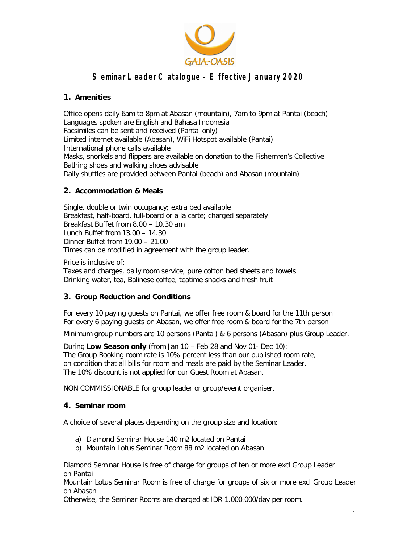

## **1. Amenities**

Office opens daily 6am to 8pm at Abasan (mountain), 7am to 9pm at Pantai (beach) Languages spoken are English and Bahasa Indonesia Facsimiles can be sent and received (Pantai only) Limited internet available (Abasan), WiFi Hotspot available (Pantai) International phone calls available Masks, snorkels and flippers are available on donation to the Fishermen's Collective Bathing shoes and walking shoes advisable Daily shuttles are provided between Pantai (beach) and Abasan (mountain)

## **2. Accommodation & Meals**

Single, double or twin occupancy; extra bed available Breakfast, half-board, full-board or a la carte; charged separately Breakfast Buffet from 8.00 – 10.30 am Lunch Buffet from 13.00 – 14.30 Dinner Buffet from 19.00 – 21.00 Times can be modified in agreement with the group leader.

*Price is inclusive of:* Taxes and charges, daily room service, pure cotton bed sheets and towels Drinking water, tea, Balinese coffee, teatime snacks and fresh fruit

## **3. Group Reduction and Conditions**

For every 10 paying guests on Pantai, we offer free room & board for the 11th person For every 6 paying guests on Abasan, we offer free room & board for the 7th person

Minimum group numbers are 10 persons (Pantai) & 6 persons (Abasan) plus Group Leader.

During **Low Season only** (from Jan 10 – Feb 28 and Nov 01- Dec 10): The Group Booking room rate is 10% percent less than our published room rate, on condition that all bills for room and meals are paid by the Seminar Leader. The 10% discount is not applied for our Guest Room at Abasan.

NON COMMISSIONABLE for group leader or group/event organiser.

### **4. Seminar room**

A choice of several places depending on the group size and location:

- a) Diamond Seminar House 140 m2 located on Pantai
- b) Mountain Lotus Seminar Room 88 m2 located on Abasan

Diamond Seminar House is free of charge for groups of ten or more excl Group Leader on Pantai

Mountain Lotus Seminar Room is free of charge for groups of six or more excl Group Leader on Abasan

Otherwise, the Seminar Rooms are charged at IDR 1.000.000/day per room.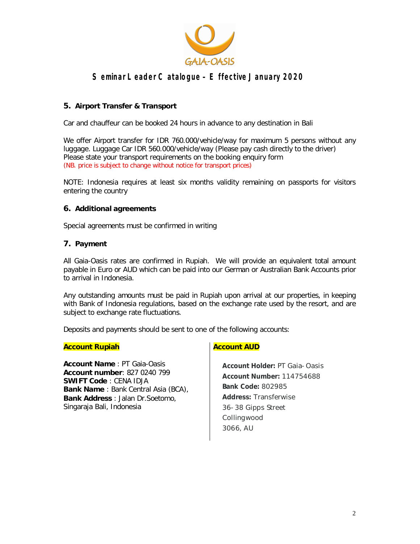

## **5. Airport Transfer & Transport**

Car and chauffeur can be booked 24 hours in advance to any destination in Bali

We offer Airport transfer for IDR 760.000/vehicle/way for maximum 5 persons without any luggage. Luggage Car IDR 560.000/vehicle/way (Please pay cash directly to the driver) Please state your transport requirements on the booking enquiry form (NB. price is subject to change without notice for transport prices)

NOTE: Indonesia requires at least six months validity remaining on passports for visitors entering the country

#### **6. Additional agreements**

Special agreements must be confirmed in writing

#### **7. Payment**

All Gaia-Oasis rates are confirmed in Rupiah. We will provide an equivalent total amount payable in Euro or AUD which can be paid into our German or Australian Bank Accounts prior to arrival in Indonesia.

Any outstanding amounts must be paid in Rupiah upon arrival at our properties, in keeping with Bank of Indonesia regulations, based on the exchange rate used by the resort, and are subject to exchange rate fluctuations.

Deposits and payments should be sent to one of the following accounts:

#### **Account Rupiah**

**Account Name** : PT Gaia-Oasis **Account number**: 827 0240 799 **SWIFT Code** : CENA IDJA **Bank Name** : Bank Central Asia (BCA), **Bank Address** : Jalan Dr.Soetomo, Singaraja Bali, Indonesia

#### **Account AUD**

**Account Holder:** PT Gaia-Oasis **Account Number:** 114754688 **Bank Code:** 802985 **Address:** Transferwise 36-38 Gipps Street Collingwood 3066, AU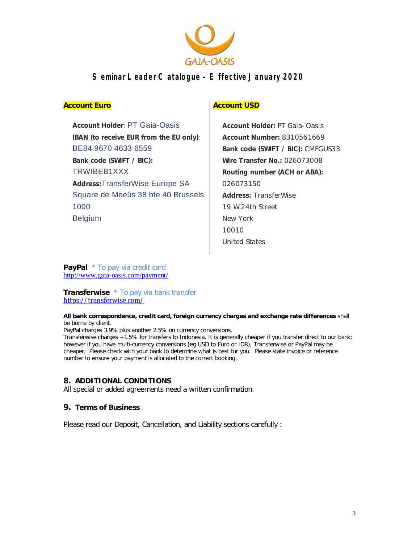

#### **Account Euro**

**Account Holder**: PT Gaia-Oasis **IBAN (to receive EUR from the EU only)**: BE84 9670 4633 6559 **Bank code (SWIFT / BIC):** TRWIBEB1XXX **Address:**TransferWise Europe SA Square de Meeûs 38 bte 40 Brussels 1000 Belgium

## **Account USD**

**Account Holder:** PT Gaia-Oasis **Account Number:** 8310561669 **Bank code (SWIFT / BIC):** CMFGUS33 **Wire Transfer No.:** 026073008 **Routing number (ACH or ABA):**  026073150 **Address:** TransferWise 19 W 24th Street New York 10010 United States

**PayPal**  $*$  To pay via credit card http://www.gaia-oasis.com/payment/

**Transferwise** \* To pay via bank transfer https://transferwise.com/

**All bank correspondence, credit card, foreign currency charges and exchange rate differences** shall be borne by client.

PayPal charges 3.9% plus another 2.5% on currency conversions.

Transferwise charges  $\pm 1.5\%$  for transfers to Indonesia. It is generally cheaper if you transfer direct to our bank; however if you have multi-currency conversions (eg USD to Euro or IDR), Transferwise or PayPal may be cheaper. Please check with your bank to determine what is best for you. Please state invoice or reference number to ensure your payment is allocated to the correct booking.

#### **8. ADDITIONAL CONDITIONS**

All special or added agreements need a written confirmation.

### **9. Terms of Business**

Please read our Deposit, Cancellation, and Liability sections carefully :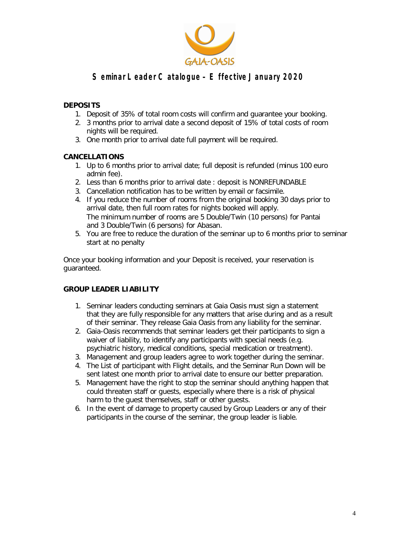

### **DEPOSITS**

- 1. Deposit of 35% of total room costs will confirm and guarantee your booking.
- 2. 3 months prior to arrival date a second deposit of 15% of total costs of room nights will be required.
- 3. One month prior to arrival date full payment will be required.

### **CANCELLATIONS**

- 1. Up to 6 months prior to arrival date; full deposit is refunded (minus 100 euro admin fee).
- 2. Less than 6 months prior to arrival date : deposit is NONREFUNDABLE
- 3. Cancellation notification has to be written by email or facsimile.
- 4. If you reduce the number of rooms from the original booking 30 days prior to arrival date, then full room rates for nights booked will apply. The minimum number of rooms are 5 Double/Twin (10 persons) for Pantai and 3 Double/Twin (6 persons) for Abasan.
- 5. You are free to reduce the duration of the seminar up to 6 months prior to seminar start at no penalty

Once your booking information and your Deposit is received, your reservation is guaranteed.

### **GROUP LEADER LIABILITY**

- 1. Seminar leaders conducting seminars at Gaia Oasis must sign a statement that they are fully responsible for any matters that arise during and as a result of their seminar. They release Gaia Oasis from any liability for the seminar.
- 2. Gaia-Oasis recommends that seminar leaders get their participants to sign a waiver of liability, to identify any participants with special needs (e.g. psychiatric history, medical conditions, special medication or treatment).
- 3. Management and group leaders agree to work together during the seminar.
- 4. The List of participant with Flight details, and the Seminar Run Down will be sent latest one month prior to arrival date to ensure our better preparation.
- 5. Management have the right to stop the seminar should anything happen that could threaten staff or guests, especially where there is a risk of physical harm to the guest themselves, staff or other guests.
- 6. In the event of damage to property caused by Group Leaders or any of their participants in the course of the seminar, the group leader is liable.